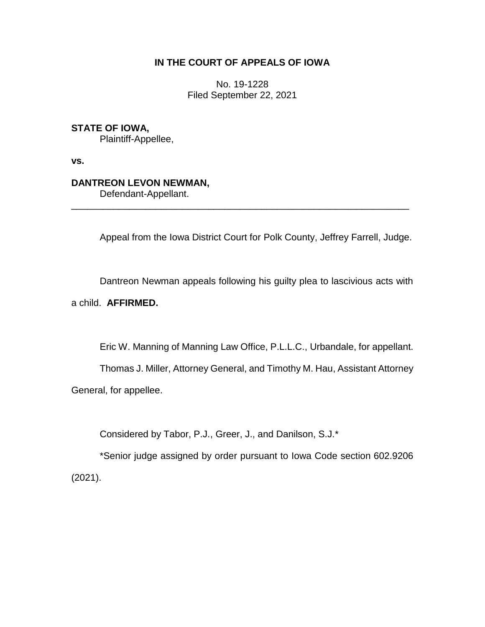# **IN THE COURT OF APPEALS OF IOWA**

No. 19-1228 Filed September 22, 2021

## **STATE OF IOWA,**

Plaintiff-Appellee,

**vs.**

## **DANTREON LEVON NEWMAN,**

Defendant-Appellant.

Appeal from the Iowa District Court for Polk County, Jeffrey Farrell, Judge.

\_\_\_\_\_\_\_\_\_\_\_\_\_\_\_\_\_\_\_\_\_\_\_\_\_\_\_\_\_\_\_\_\_\_\_\_\_\_\_\_\_\_\_\_\_\_\_\_\_\_\_\_\_\_\_\_\_\_\_\_\_\_\_\_

Dantreon Newman appeals following his guilty plea to lascivious acts with

### a child. **AFFIRMED.**

Eric W. Manning of Manning Law Office, P.L.L.C., Urbandale, for appellant.

Thomas J. Miller, Attorney General, and Timothy M. Hau, Assistant Attorney General, for appellee.

Considered by Tabor, P.J., Greer, J., and Danilson, S.J.\*

\*Senior judge assigned by order pursuant to Iowa Code section 602.9206 (2021).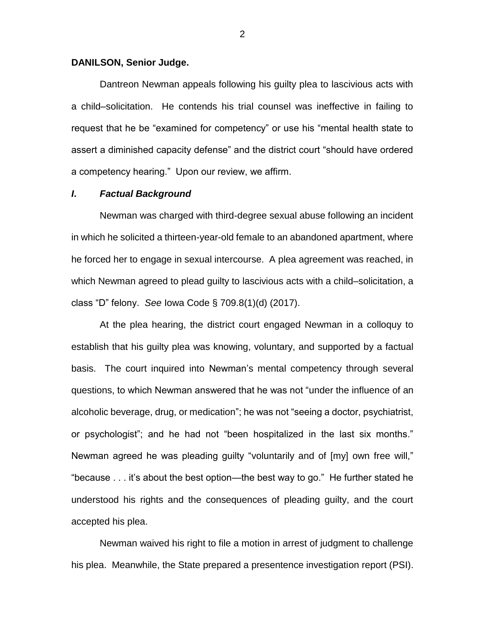### **DANILSON, Senior Judge.**

Dantreon Newman appeals following his guilty plea to lascivious acts with a child–solicitation. He contends his trial counsel was ineffective in failing to request that he be "examined for competency" or use his "mental health state to assert a diminished capacity defense" and the district court "should have ordered a competency hearing." Upon our review, we affirm.

### *I***.** *Factual Background*

Newman was charged with third-degree sexual abuse following an incident in which he solicited a thirteen-year-old female to an abandoned apartment, where he forced her to engage in sexual intercourse. A plea agreement was reached, in which Newman agreed to plead guilty to lascivious acts with a child–solicitation, a class "D" felony. *See* Iowa Code § 709.8(1)(d) (2017).

At the plea hearing, the district court engaged Newman in a colloquy to establish that his guilty plea was knowing, voluntary, and supported by a factual basis. The court inquired into Newman's mental competency through several questions, to which Newman answered that he was not "under the influence of an alcoholic beverage, drug, or medication"; he was not "seeing a doctor, psychiatrist, or psychologist"; and he had not "been hospitalized in the last six months." Newman agreed he was pleading guilty "voluntarily and of [my] own free will," "because . . . it's about the best option—the best way to go." He further stated he understood his rights and the consequences of pleading guilty, and the court accepted his plea.

Newman waived his right to file a motion in arrest of judgment to challenge his plea. Meanwhile, the State prepared a presentence investigation report (PSI).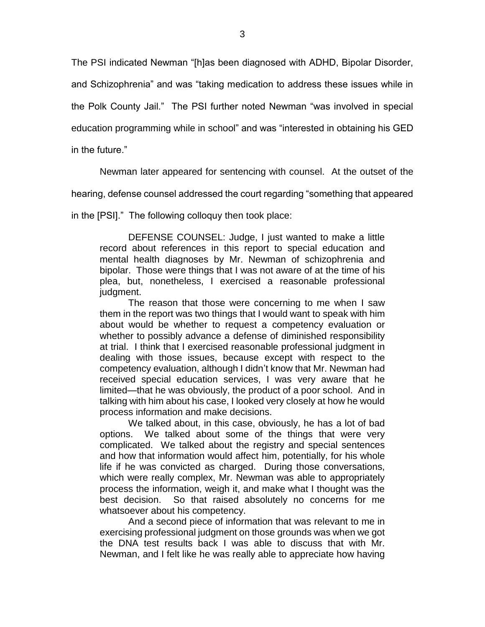The PSI indicated Newman "[h]as been diagnosed with ADHD, Bipolar Disorder,

and Schizophrenia" and was "taking medication to address these issues while in

the Polk County Jail." The PSI further noted Newman "was involved in special

education programming while in school" and was "interested in obtaining his GED

in the future."

Newman later appeared for sentencing with counsel. At the outset of the

hearing, defense counsel addressed the court regarding "something that appeared

in the [PSI]." The following colloquy then took place:

DEFENSE COUNSEL: Judge, I just wanted to make a little record about references in this report to special education and mental health diagnoses by Mr. Newman of schizophrenia and bipolar. Those were things that I was not aware of at the time of his plea, but, nonetheless, I exercised a reasonable professional judgment.

The reason that those were concerning to me when I saw them in the report was two things that I would want to speak with him about would be whether to request a competency evaluation or whether to possibly advance a defense of diminished responsibility at trial. I think that I exercised reasonable professional judgment in dealing with those issues, because except with respect to the competency evaluation, although I didn't know that Mr. Newman had received special education services, I was very aware that he limited—that he was obviously, the product of a poor school. And in talking with him about his case, I looked very closely at how he would process information and make decisions.

We talked about, in this case, obviously, he has a lot of bad options. We talked about some of the things that were very complicated. We talked about the registry and special sentences and how that information would affect him, potentially, for his whole life if he was convicted as charged. During those conversations, which were really complex, Mr. Newman was able to appropriately process the information, weigh it, and make what I thought was the best decision. So that raised absolutely no concerns for me whatsoever about his competency.

And a second piece of information that was relevant to me in exercising professional judgment on those grounds was when we got the DNA test results back I was able to discuss that with Mr. Newman, and I felt like he was really able to appreciate how having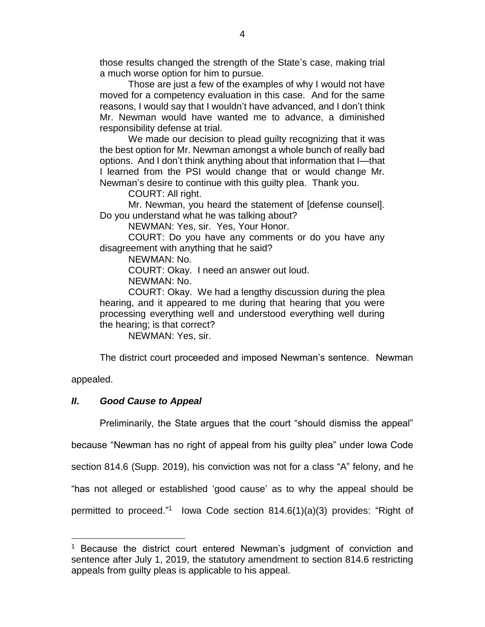those results changed the strength of the State's case, making trial a much worse option for him to pursue.

Those are just a few of the examples of why I would not have moved for a competency evaluation in this case. And for the same reasons, I would say that I wouldn't have advanced, and I don't think Mr. Newman would have wanted me to advance, a diminished responsibility defense at trial.

We made our decision to plead guilty recognizing that it was the best option for Mr. Newman amongst a whole bunch of really bad options. And I don't think anything about that information that I—that I learned from the PSI would change that or would change Mr. Newman's desire to continue with this guilty plea. Thank you.

COURT: All right.

Mr. Newman, you heard the statement of [defense counsel]. Do you understand what he was talking about?

NEWMAN: Yes, sir. Yes, Your Honor.

COURT: Do you have any comments or do you have any disagreement with anything that he said?

NEWMAN: No.

COURT: Okay. I need an answer out loud.

NEWMAN: No.

COURT: Okay. We had a lengthy discussion during the plea hearing, and it appeared to me during that hearing that you were processing everything well and understood everything well during the hearing; is that correct?

NEWMAN: Yes, sir.

The district court proceeded and imposed Newman's sentence. Newman

appealed.

 $\overline{a}$ 

### *II***.** *Good Cause to Appeal*

Preliminarily, the State argues that the court "should dismiss the appeal"

because "Newman has no right of appeal from his guilty plea" under Iowa Code

section 814.6 (Supp. 2019), his conviction was not for a class "A" felony, and he

"has not alleged or established 'good cause' as to why the appeal should be

permitted to proceed." 1 Iowa Code section 814.6(1)(a)(3) provides: "Right of

<sup>&</sup>lt;sup>1</sup> Because the district court entered Newman's judgment of conviction and sentence after July 1, 2019, the statutory amendment to section 814.6 restricting appeals from guilty pleas is applicable to his appeal.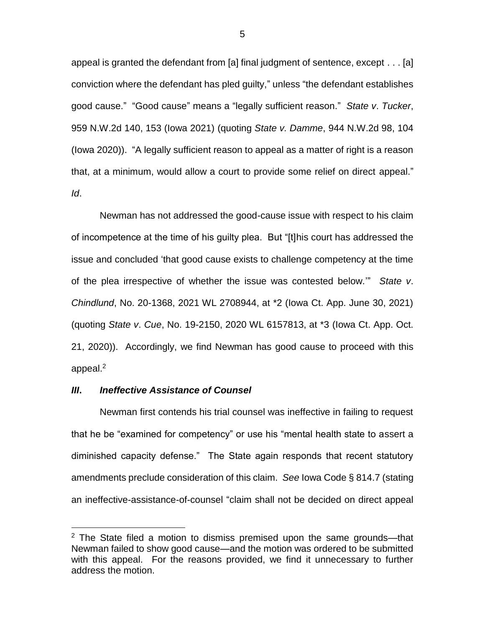appeal is granted the defendant from [a] final judgment of sentence, except . . . [a] conviction where the defendant has pled guilty," unless "the defendant establishes good cause." "Good cause" means a "legally sufficient reason." *State v*. *Tucker*, 959 N.W.2d 140, 153 (Iowa 2021) (quoting *State v. Damme*, 944 N.W.2d 98, 104 (Iowa 2020)). "A legally sufficient reason to appeal as a matter of right is a reason that, at a minimum, would allow a court to provide some relief on direct appeal." *Id*.

Newman has not addressed the good-cause issue with respect to his claim of incompetence at the time of his guilty plea. But "[t]his court has addressed the issue and concluded 'that good cause exists to challenge competency at the time of the plea irrespective of whether the issue was contested below.'" *State v*. *Chindlund*, No. 20-1368, 2021 WL 2708944, at \*2 (Iowa Ct. App. June 30, 2021) (quoting *State v*. *Cue*, No. 19-2150, 2020 WL 6157813, at \*3 (Iowa Ct. App. Oct. 21, 2020)). Accordingly, we find Newman has good cause to proceed with this appeal.<sup>2</sup>

### *III***.** *Ineffective Assistance of Counsel*

 $\overline{a}$ 

Newman first contends his trial counsel was ineffective in failing to request that he be "examined for competency" or use his "mental health state to assert a diminished capacity defense." The State again responds that recent statutory amendments preclude consideration of this claim. *See* Iowa Code § 814.7 (stating an ineffective-assistance-of-counsel "claim shall not be decided on direct appeal

 $2$  The State filed a motion to dismiss premised upon the same grounds—that Newman failed to show good cause—and the motion was ordered to be submitted with this appeal. For the reasons provided, we find it unnecessary to further address the motion.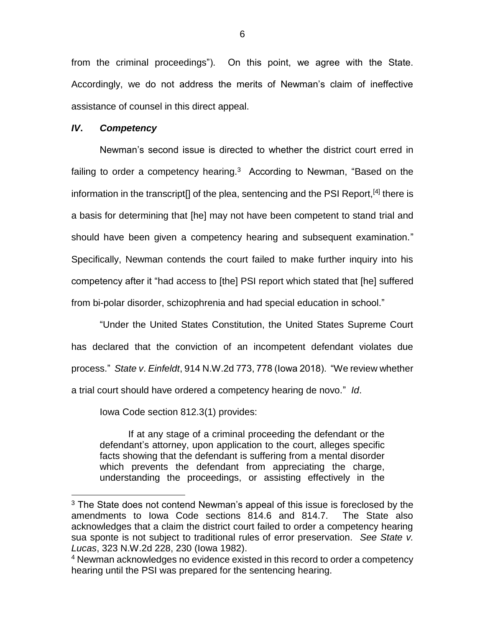from the criminal proceedings"). On this point, we agree with the State. Accordingly, we do not address the merits of Newman's claim of ineffective assistance of counsel in this direct appeal.

### *IV***.** *Competency*

 $\overline{a}$ 

Newman's second issue is directed to whether the district court erred in failing to order a competency hearing. $3$  According to Newman, "Based on the information in the transcript[] of the plea, sentencing and the PSI Report,<sup>[4]</sup> there is a basis for determining that [he] may not have been competent to stand trial and should have been given a competency hearing and subsequent examination." Specifically, Newman contends the court failed to make further inquiry into his competency after it "had access to [the] PSI report which stated that [he] suffered from bi-polar disorder, schizophrenia and had special education in school."

"Under the United States Constitution, the United States Supreme Court has declared that the conviction of an incompetent defendant violates due process." *State v*. *Einfeldt*, 914 N.W.2d 773, 778 (Iowa 2018). "We review whether a trial court should have ordered a competency hearing de novo." *Id*.

Iowa Code section 812.3(1) provides:

If at any stage of a criminal proceeding the defendant or the defendant's attorney, upon application to the court, alleges specific facts showing that the defendant is suffering from a mental disorder which prevents the defendant from appreciating the charge, understanding the proceedings, or assisting effectively in the

 $3$  The State does not contend Newman's appeal of this issue is foreclosed by the amendments to Iowa Code sections 814.6 and 814.7. The State also acknowledges that a claim the district court failed to order a competency hearing sua sponte is not subject to traditional rules of error preservation. *See State v. Lucas*, 323 N.W.2d 228, 230 (Iowa 1982).

<sup>&</sup>lt;sup>4</sup> Newman acknowledges no evidence existed in this record to order a competency hearing until the PSI was prepared for the sentencing hearing.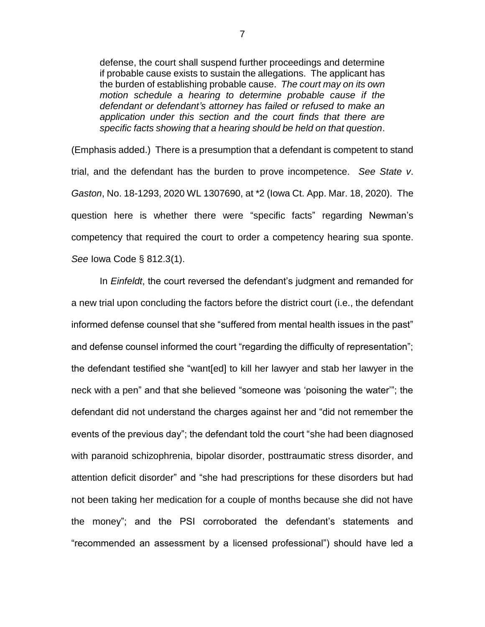defense, the court shall suspend further proceedings and determine if probable cause exists to sustain the allegations. The applicant has the burden of establishing probable cause. *The court may on its own motion schedule a hearing to determine probable cause if the defendant or defendant's attorney has failed or refused to make an application under this section and the court finds that there are specific facts showing that a hearing should be held on that question*.

(Emphasis added.) There is a presumption that a defendant is competent to stand trial, and the defendant has the burden to prove incompetence. *See State v*. *Gaston*, No. 18-1293, 2020 WL 1307690, at \*2 (Iowa Ct. App. Mar. 18, 2020). The question here is whether there were "specific facts" regarding Newman's competency that required the court to order a competency hearing sua sponte. *See* Iowa Code § 812.3(1).

In *Einfeldt*, the court reversed the defendant's judgment and remanded for a new trial upon concluding the factors before the district court (i.e., the defendant informed defense counsel that she "suffered from mental health issues in the past" and defense counsel informed the court "regarding the difficulty of representation"; the defendant testified she "want[ed] to kill her lawyer and stab her lawyer in the neck with a pen" and that she believed "someone was 'poisoning the water'"; the defendant did not understand the charges against her and "did not remember the events of the previous day"; the defendant told the court "she had been diagnosed with paranoid schizophrenia, bipolar disorder, posttraumatic stress disorder, and attention deficit disorder" and "she had prescriptions for these disorders but had not been taking her medication for a couple of months because she did not have the money"; and the PSI corroborated the defendant's statements and "recommended an assessment by a licensed professional") should have led a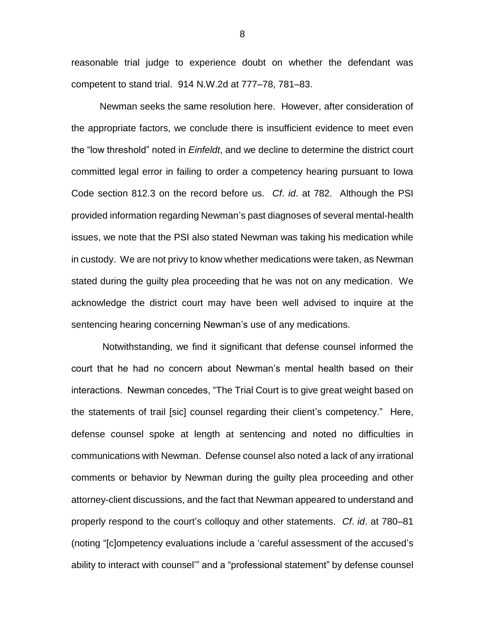reasonable trial judge to experience doubt on whether the defendant was competent to stand trial. 914 N.W.2d at 777–78, 781–83.

Newman seeks the same resolution here. However, after consideration of the appropriate factors, we conclude there is insufficient evidence to meet even the "low threshold" noted in *Einfeldt*, and we decline to determine the district court committed legal error in failing to order a competency hearing pursuant to Iowa Code section 812.3 on the record before us. *Cf*. *id*. at 782. Although the PSI provided information regarding Newman's past diagnoses of several mental-health issues, we note that the PSI also stated Newman was taking his medication while in custody. We are not privy to know whether medications were taken, as Newman stated during the guilty plea proceeding that he was not on any medication. We acknowledge the district court may have been well advised to inquire at the sentencing hearing concerning Newman's use of any medications.

Notwithstanding, we find it significant that defense counsel informed the court that he had no concern about Newman's mental health based on their interactions. Newman concedes, "The Trial Court is to give great weight based on the statements of trail [sic] counsel regarding their client's competency." Here, defense counsel spoke at length at sentencing and noted no difficulties in communications with Newman. Defense counsel also noted a lack of any irrational comments or behavior by Newman during the guilty plea proceeding and other attorney-client discussions, and the fact that Newman appeared to understand and properly respond to the court's colloquy and other statements. *Cf*. *id*. at 780–81 (noting "[c]ompetency evaluations include a 'careful assessment of the accused's ability to interact with counsel'" and a "professional statement" by defense counsel

8